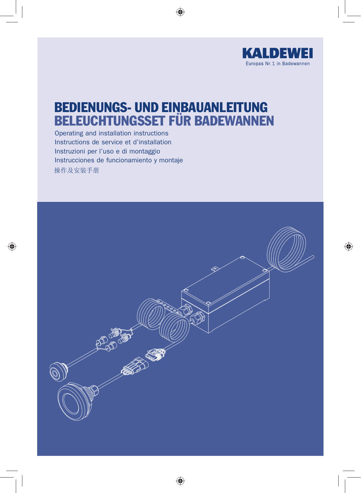

# BEDIENUNGS- UND EINBAUANLEITUNG BELEUCHTUNGSSET FÜR BADEWANNEN

Operating and installation instructions Instructions de service et d'installation Instruzioni per l'uso e di montaggio Instrucciones de funcionamiento y montaje操作及安装手册

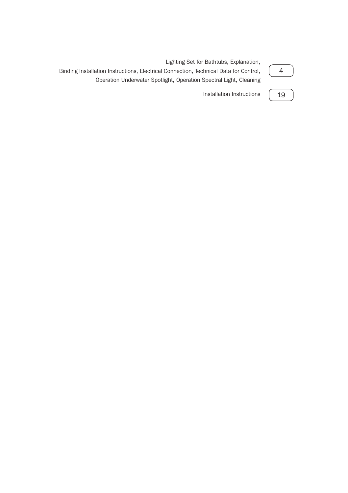| Lighting Set for Bathtubs, Explanation,<br>Binding Installation Instructions, Electrical Connection, Technical Data for Control,<br>Operation Underwater Spotlight, Operation Spectral Light, Cleaning |
|--------------------------------------------------------------------------------------------------------------------------------------------------------------------------------------------------------|
| Installation Instructions (19                                                                                                                                                                          |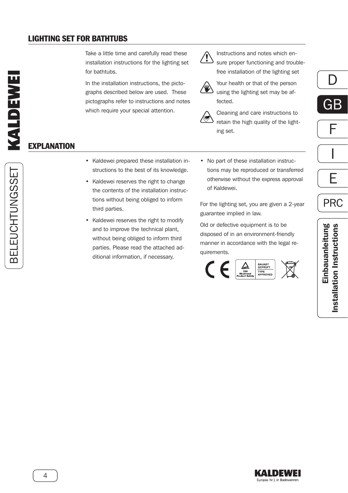#### <span id="page-2-0"></span>LIGHTING SET FOR BATHTUBS

**EXPLANATION** 

Take a little time and carefully read these installation instructions for the lighting set for bathtubs.

In the installation instructions, the pictographs described below are used. These pictographs refer to instructions and notes which require your special attention.



Instructions and notes which ensure proper functioning and troublefree installation of the lighting set



Your health or that of the person using the lighting set may be affected.



Cleaning and care instructions to retain the high quality of the lighting set.

F GB

D

$$
\frac{\boxed{\phantom{1}}}{\boxed{\phantom{1}}}
$$

$$
\overline{\mathsf{F}}
$$

PRC

- Kaldewei prepared these installation instructions to the best of its knowledge.
- Kaldewei reserves the right to change the contents of the installation instructions without being obliged to inform third parties.
- Kaldewei reserves the right to modify and to improve the technical plant, without being obliged to inform third parties. Please read the attached additional information, if necessary.
- No part of these installation instructions may be reproduced or transferred otherwise without the express approval of Kaldewei.

For the lighting set, you are given a 2-year guarantee implied in law.

Old or defective equipment is to be disposed of in an environment-friendly manner in accordance with the legal requirements.





BELEUCHTUNGSSET BELEUCHTUNGSSET

4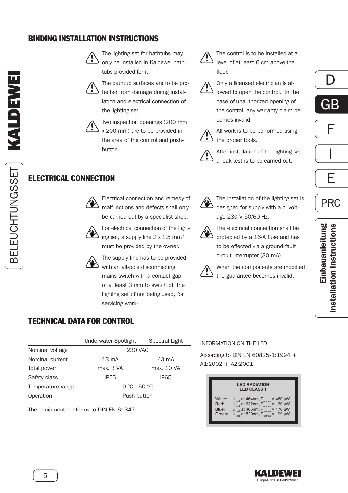#### <span id="page-3-0"></span>BINDING INSTALLATION INSTRUCTIONS

BELEUCHTUNGSSET BELEUCHTUNGSSET





The bathtub surfaces are to be protected from damage during installation and electrical connection of the lighting set.



ELECTRICAL CONNECTION

Two inspection openings (200 mm x 200 mm) are to be provided in the area of the control and pushbutton.

Electrical connection and remedy of malfunctions and defects shall only be carried out by a specialist shop. For electrical connection of the lighting set, a supply line 2 x 1.5 mm² must be provided by the owner. The supply line has to be provided with an all-pole disconnecting mains switch with a contact gap of at least 3 mm to switch off the lighting set (if not being used, for

Ţ



The control is to be installed at a level of at least 6 cm above the floor.

Only a licensed electrician is al-



lowed to open the control. In the case of unauthorized opening of the control, any warranty claim becomes invalid.

All work is to be performed using the proper tools.

After installation of the lighting set, a leak test is to be carried out.



The installation of the lighting set is designed for supply with a.c. voltage 230 V 50/60 Hz.



The electrical connection shall be

protected by a 16-A fuse and has to be effected via a ground-fault circuit interrupter (30 mA).

When the components are modified the guarantee becomes invalid.



#### TECHNICAL DATA FOR CONTROL

|                   | Underwater Spotlight | Spectral Light |
|-------------------|----------------------|----------------|
| Nominal voltage   | 230 VAC              |                |
| Nominal current   | $13 \text{ mA}$      | 43 mA          |
| Total power       | max. 3 VA            | max. 10 VA     |
| Safety class      | <b>IP55</b>          | <b>IP65</b>    |
| Temperature range | $0 °C - 50 °C$       |                |
| Operation         | Push-button          |                |

servicing work).

The equipment conforms to DIN EN 61347

#### INFORMATION ON THE LED

According to DIN EN 60825-1:1994 + A1:2002 + A2:2001:

|                                   | <b>LED RADIATION</b><br><b>LED CLASS 1</b>                                                                                                                                                                                                      |
|-----------------------------------|-------------------------------------------------------------------------------------------------------------------------------------------------------------------------------------------------------------------------------------------------|
| White:<br>Red:<br>Blue:<br>Green: | $= 480 \mu W$<br>$\lambda_{\text{peak}}$ at 464nm, P<br>$\lambda_{\text{peak}}$ at 632nm, P<br>$\lambda_{\text{peak}}$ at 465nm, P<br>$\lambda_{\text{peak}}$ at 520nm, P<br>opmax<br>$= 130 \mu W$<br>opmax<br>$= 176 \mu W$<br>opmax<br>99 uW |





E

PRC



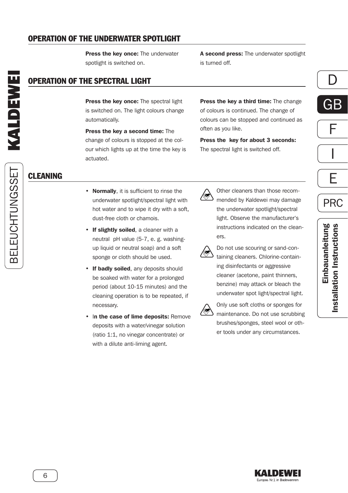#### <span id="page-4-0"></span>OPERATION OF THE UNDERWATER SPOTLIGHT

Press the key once: The underwater spotlight is switched on.

## OPERATION OF THE SPECTRAL LIGHT

Press the key once: The spectral light is switched on. The light colours change automatically.

Press the key a second time: The change of colours is stopped at the colour which lights up at the time the key is actuated.

A second press: The underwater spotlight is turned off.

Press the key a third time: The change of colours is continued. The change of colours can be stopped and continued as

Press the key for about 3 seconds: The spectral light is switched off.

D

F GB



E

PRC

BELEUCHTUNGSSET BELEUCHTUNGSSET

# CLEANING

- Normally, it is sufficient to rinse the underwater spotlight/spectral light with hot water and to wipe it dry with a soft, dust-free cloth or chamois.
- If slightly soiled, a cleaner with a neutral pH value (5-7, e. g. washingup liquid or neutral soap) and a soft sponge or cloth should be used.
- If badly soiled, any deposits should be soaked with water for a prolonged period (about 10-15 minutes) and the cleaning operation is to be repeated, if necessary.
- In the case of lime deposits: Remove deposits with a water/vinegar solution (ratio 1:1, no vinegar concentrate) or with a dilute anti-liming agent.



often as you like.

Other cleaners than those recommended by Kaldewei may damage the underwater spotlight/spectral light. Observe the manufacturer's instructions indicated on the cleaners.



Do not use scouring or sand-containing cleaners. Chlorine-containing disinfectants or aggressive cleaner (acetone, paint thinners, benzine) may attack or bleach the underwater spot light/spectral light.



Only use soft cloths or sponges for maintenance. Do not use scrubbing brushes/sponges, steel wool or other tools under any circumstances.

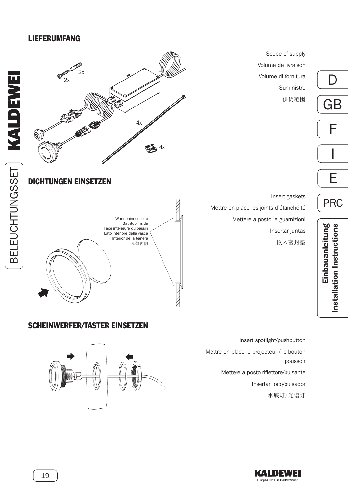#### <span id="page-5-0"></span>LIEFERUMFANG



Insert spotlight/pushbutton Mettre en place le projecteur / le bouton poussoir Mettere a posto riflettore/pulsante Insertar foco/pulsador 水底灯/光谱灯

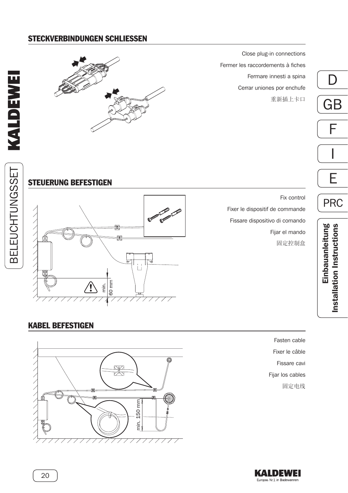#### STECKVERBINDUNGEN SCHLIESSEN



Close plug-in connections Fermer les raccordements à fiches Fermare innesti a spina Cerrar uniones por enchufe 重新插上卡口



PRC



Fix control Fixer le dispositif de commande Fissare dispositivo di comando Fijar el mando 固定控制盒

Einbauanleitung<br>Installation Instructions Einbauanleitung Installation Instructions

#### KABEL BEFESTIGEN



Fasten cable Fixer le câble Fissare cavi Fijar los cables 固定电线



20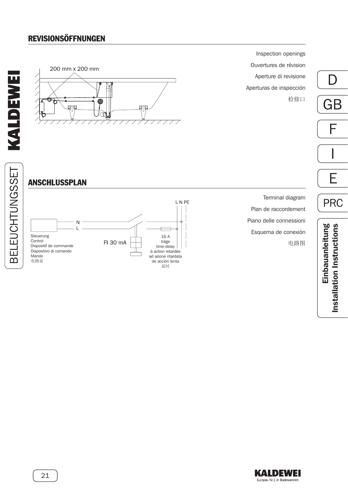# **REVISIONSÖFFNUNGEN**





Inspection openings Ouvertures de révision Aperture di revisione Aperturas de inspección 检修口

E I F GB

PRC

D

# ANSCHLUSSPLAN



Terminal diagram Plan de raccordement Piano delle connessioni Esquema de conexión 电路图

Einbauanleitung<br>Installation Instructions Einbauanleitung Installation Instructions

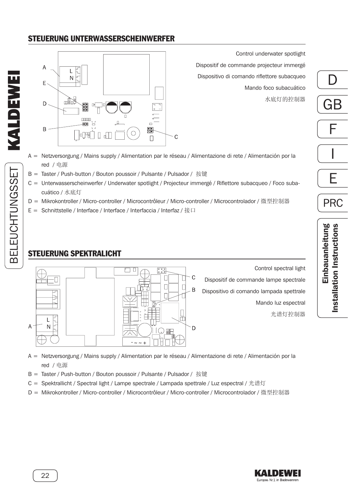### STEUERUNG UNTERWASSERSCHEINWERFER



Control underwater spotlight Dispositif de commande projecteur immergé Dispositivo di comando riflettore subacqueo Mando foco subacuático 水底灯的控制器

- A = Netzversorgung / Mains supply / Alimentation par le réseau / Alimentazione di rete / Alimentación por la red / 电源
- B = Taster / Push-button / Bouton poussoir / Pulsante / Pulsador / 按键
- C = Unterwasserscheinwerfer / Underwater spotlight / Projecteur immergé / Riflettore subacqueo / Foco subacuático / 水底灯
- D = Mikrokontroller / Micro-controller / Microcontrôleur / Micro-controller / Microcontrolador / 微型控制器
- E = Schnittstelle / Interface / Interface / Interfaccia / Interfaz / 接口

#### STEUERUNG SPEKTRALICHT



A = Netzversorgung / Mains supply / Alimentation par le réseau / Alimentazione di rete / Alimentación por la red / 电源

- B = Taster / Push-button / Bouton poussoir / Pulsante / Pulsador / 按键
- C = Spektrallicht / Spectral light / Lampe spectrale / Lampada spettrale / Luz espectral / 光谱灯
- D = Mikrokontroller / Micro-controller / Microcontrôleur / Micro-controller / Microcontrolador / 微型控制器



Einbauanleitung

Einbauanleitung

Installation Instructions

Installation Instructions

E

PRC

I

F

D

GB